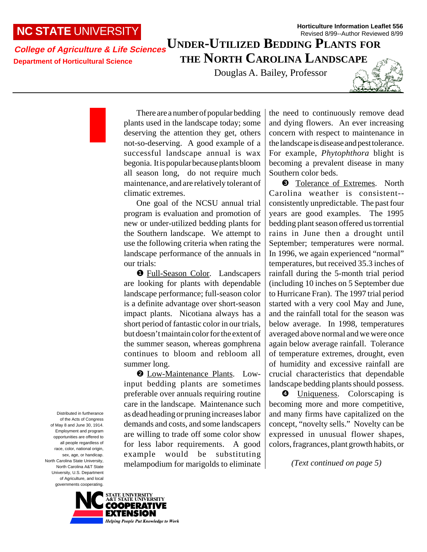## **NC STATE** UNIVERSITY

## **Horticulture Information Leaflet 556** Revised 8/99--Author Reviewed 8/99

## **College of Agriculture & Life Sciences Department of Horticultural Science UNDER-UTILIZED BEDDING PLANTS FOR THE NORTH CAROLINA LANDSCAPE**

Douglas A. Bailey, Professor



There are a number of popular bedding plants used in the landscape today; some deserving the attention they get, others not-so-deserving. A good example of a successful landscape annual is wax begonia. It is popular because plants bloom all season long, do not require much maintenance, and are relatively tolerant of climatic extremes.

One goal of the NCSU annual trial program is evaluation and promotion of new or under-utilized bedding plants for the Southern landscape. We attempt to use the following criteria when rating the landscape performance of the annuals in our trials:

❶ Full-Season Color. Landscapers are looking for plants with dependable landscape performance; full-season color is a definite advantage over short-season impact plants. Nicotiana always has a short period of fantastic color in our trials, but doesn't maintain color for the extent of the summer season, whereas gomphrena continues to bloom and rebloom all summer long.

❷ Low-Maintenance Plants. Lowinput bedding plants are sometimes preferable over annuals requiring routine care in the landscape. Maintenance such as dead heading or pruning increases labor demands and costs, and some landscapers are willing to trade off some color show for less labor requirements. A good example would be substituting melampodium for marigolds to eliminate the need to continuously remove dead and dying flowers. An ever increasing concern with respect to maintenance in the landscape is disease and pest tolerance. For example, *Phytophthora* blight is becoming a prevalent disease in many Southern color beds.

❸ Tolerance of Extremes. North Carolina weather is consistent- consistently unpredictable. The past four years are good examples. The 1995 bedding plant season offered us torrential rains in June then a drought until September; temperatures were normal. In 1996, we again experienced "normal" temperatures, but received 35.3 inches of rainfall during the 5-month trial period (including 10 inches on 5 September due to Hurricane Fran). The 1997 trial period started with a very cool May and June, and the rainfall total for the season was below average. In 1998, temperatures averaged above normal and we were once again below average rainfall. Tolerance of temperature extremes, drought, even of humidity and excessive rainfall are crucial characteristics that dependable landscape bedding plants should possess.

❹ Uniqueness. Colorscaping is becoming more and more competitive, and many firms have capitalized on the concept, "novelty sells." Novelty can be expressed in unusual flower shapes, colors, fragrances, plant growth habits, or

*(Text continued on page 5)*

Distributed in furtherance of the Acts of Congress of May 8 and June 30, 1914. Employment and program opportunities are offered to all people regardless of race, color, national origin, sex, age, or handicap. North Carolina State University, North Carolina A&T State University, U.S. Department of Agriculture, and local governments cooperating.

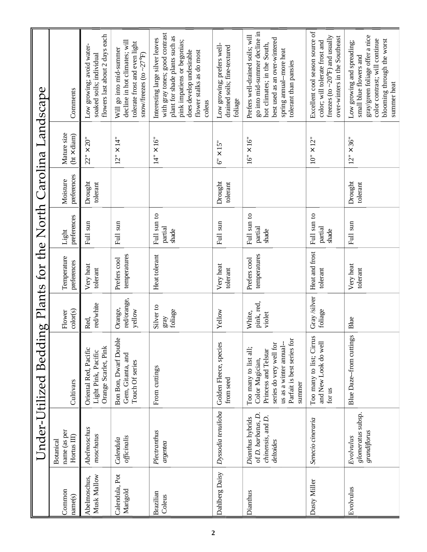|                                             | Comments                                 | flowers last about 2 days each<br>Low growing; avoid water-<br>soaked soils; individual | decline in hot climates; will<br>tolerate frost and even light<br>Will go into mid-summer<br>$\text{snow/freezes}$ (to $\sim$ 27°F) | with gray tones; good contrast<br>plant for shade plants such as<br>Interesting large silver leaves<br>pink impatiens or begonias;<br>flower stalks as do most<br>does develop undesirable<br>coleus | Low growing; prefers well-<br>drained soils; fine-textured<br>foliage | go into mid-summer decline in<br>Prefers well-drained soils; will<br>best used as an over-wintered<br>hot climates; in the South,<br>spring annual-more heat<br>tolerant than pansies | Excellent cool season source of<br>freezes (to $\sim$ 20°F) and usually<br>over-winters in the Southeast<br>color; will tolerate frost and | gray/green foliage offer a nice<br>color contrast; will continue<br>blooming through the worst<br>Low growing and spreading;<br>small blue flowers and<br>summer heat |
|---------------------------------------------|------------------------------------------|-----------------------------------------------------------------------------------------|-------------------------------------------------------------------------------------------------------------------------------------|------------------------------------------------------------------------------------------------------------------------------------------------------------------------------------------------------|-----------------------------------------------------------------------|---------------------------------------------------------------------------------------------------------------------------------------------------------------------------------------|--------------------------------------------------------------------------------------------------------------------------------------------|-----------------------------------------------------------------------------------------------------------------------------------------------------------------------|
| ing Plants for the North Carolina Landscape | Mature size<br>$(ht \times diam)$        | $22" \times 20"$                                                                        | $12" \times 14"$                                                                                                                    | $14" \times 16"$                                                                                                                                                                                     | $6" \times 15"$                                                       | $16" \times 16"$                                                                                                                                                                      | $10^{1} \times 12^{1}$                                                                                                                     | $\times 36"$<br>12"                                                                                                                                                   |
|                                             | preferences<br>Moisture                  | Drought<br>tolerant                                                                     |                                                                                                                                     |                                                                                                                                                                                                      | Drought<br>tolerant                                                   |                                                                                                                                                                                       |                                                                                                                                            | Drought<br>tolerant                                                                                                                                                   |
|                                             | preferences<br>Light                     | Full sun                                                                                | Full sun                                                                                                                            | Full sun to<br>partial<br>shade                                                                                                                                                                      | Full sun                                                              | Full sun to<br>partial<br>shade                                                                                                                                                       | Full sun to<br>partial<br>shade                                                                                                            | Full sun                                                                                                                                                              |
|                                             | Temperature<br>preferences               | Very heat<br>tolerant                                                                   | temperatures<br>Prefers cool                                                                                                        | Heat tolerant                                                                                                                                                                                        | Very heat<br>tolerant                                                 | temperatures<br>Prefers cool                                                                                                                                                          | Heat and frost<br>tolerant                                                                                                                 | Very heat<br>tolerant                                                                                                                                                 |
|                                             | color(s)<br>Flower                       | red/white<br>Red,                                                                       | red/orange,<br>Orange,<br>yellow                                                                                                    | Silver to<br>foliage<br>gray                                                                                                                                                                         | Yellow                                                                | pink, red,<br>White,<br>violet                                                                                                                                                        | Gray/silver<br>foliage                                                                                                                     | Blue                                                                                                                                                                  |
| Under-Utilized Beddi                        | Cultivars                                | Orange Scarlet, Pink<br>Oriental Red, Pacific<br>Light Pink, Pacific                    | Bon Bon, Dwarf Double<br>Gem, Gitanta, and<br>Touch Of series                                                                       | From cuttings                                                                                                                                                                                        | Golden Fleece, species<br>from seed                                   | Parfait is best series for<br>us as a winter annual-<br>series do very well for<br>Too many to list all;<br>Princess and Telstar<br>Color Magician,<br>summer                         | Too many to list; Cirrus<br>and New Look do well<br>for us                                                                                 | Blue Daze--from cuttings                                                                                                                                              |
|                                             | name (as per<br>Hortus III)<br>Botanical | Abelmoschus<br>moschatus                                                                | officinalis<br>Calendula                                                                                                            | Plectranthus<br>argentea                                                                                                                                                                             | Dyssodia tenuiloba                                                    | of D. barbatus, D.<br>$chinensis$ , and $D$ .<br>Dianthus hybrids<br>deltoides                                                                                                        | Senecio cineraria                                                                                                                          | glomeratus subsp.<br>grandiflorus<br>Evolvulus                                                                                                                        |
|                                             | Common<br>name(s)                        | Musk Mallow<br>Abelmoschus,                                                             | Calendula, Pot<br>Marigold                                                                                                          | Brazilian<br>Coleus                                                                                                                                                                                  | Dahlberg Daisy                                                        | Dianthus                                                                                                                                                                              | Dusty Miller                                                                                                                               | Evolvulus                                                                                                                                                             |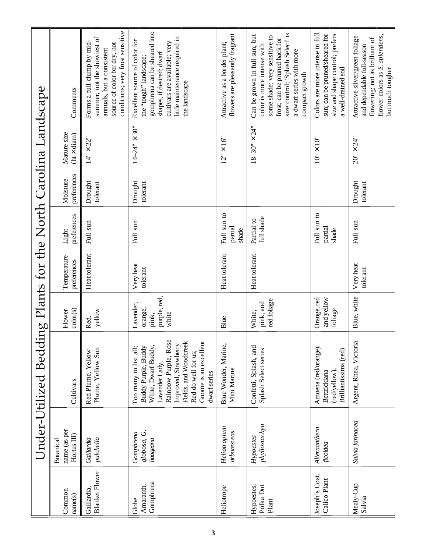|                                             | Comments                                        | conditions; very frost sensitive<br>summer; not the showiest of<br>Forms a full clump by mid-<br>source of color for dry, hot<br>annuals, but a consistent | gomphrena can be sheared into<br>little maintenance required in<br>Excellent source of color for<br>cultivars are available; very<br>shapes, if desired; dwarf<br>the "tough" landscape;<br>the landscape                      | flowers are pleasantly fragrant<br>Attractive as a border plant; | size control; 'Splash Select' is<br>Can be grown in full sun, but<br>some shade; very sensitive to<br>frost; can be pruned back for<br>color is more intense with<br>a dwarf series with more<br>compact growth | Colors are more intense in full<br>sun; can be pruned/sheared for<br>size and shape control; prefers<br>a well-drained soil | flower colors as S. splendens,<br>Attractive silver/green foliage<br>flowering; not as brilliant of<br>and dependable full-season<br>but much tougher |
|---------------------------------------------|-------------------------------------------------|------------------------------------------------------------------------------------------------------------------------------------------------------------|--------------------------------------------------------------------------------------------------------------------------------------------------------------------------------------------------------------------------------|------------------------------------------------------------------|-----------------------------------------------------------------------------------------------------------------------------------------------------------------------------------------------------------------|-----------------------------------------------------------------------------------------------------------------------------|-------------------------------------------------------------------------------------------------------------------------------------------------------|
| ing Plants for the North Carolina Landscape | Mature size<br>$(ht \times diam)$               | $14" \times 22"$                                                                                                                                           | $14 - 24" \times 30"$                                                                                                                                                                                                          | $12" \times 16"$                                                 | $18 - 30" \times 24"$                                                                                                                                                                                           | $10" \times 10"$                                                                                                            | $20" \times 24"$                                                                                                                                      |
|                                             | preferences<br>Moisture                         | Drought<br>tolerant                                                                                                                                        | Drought<br>tolerant                                                                                                                                                                                                            |                                                                  |                                                                                                                                                                                                                 |                                                                                                                             | Drought<br>tolerant                                                                                                                                   |
|                                             | preferences<br>Light                            | Full sun                                                                                                                                                   | Full sun                                                                                                                                                                                                                       | Full sun to<br>partial<br>shade                                  | full shade<br>Partial to                                                                                                                                                                                        | Full sun to<br>partial<br>shade                                                                                             | Full sun                                                                                                                                              |
|                                             | Temperature<br>preferences                      | Heat tolerant                                                                                                                                              | Very heat<br>tolerant                                                                                                                                                                                                          | Heat tolerant                                                    | Heat tolerant                                                                                                                                                                                                   |                                                                                                                             | Very heat<br>tolerant                                                                                                                                 |
|                                             | color(s)<br>Flower                              | yellow<br>Red,                                                                                                                                             | purple, red,<br>Lavender,<br>orange,<br>white<br>pink,                                                                                                                                                                         | Blue                                                             | red foliage<br>pink, and<br>White,                                                                                                                                                                              | Orange, red<br>and yellow<br>foliage                                                                                        | Blue, white                                                                                                                                           |
| Under-Utilized Beddi                        | Cultivars                                       | Plume, Yellow Sun<br>Red Plume, Yellow                                                                                                                     | Rainbow Purple, Rose<br>Fields, and Woodcreek<br>Gnome is an excellent<br>Improved, Strawberry<br>White, Dwarf Buddy,<br>Too many to list all;<br>Buddy Purple, Buddy<br>Red do well for us;<br>Lavender Lady,<br>dwarf series | Blue Wonder, Marine,<br>Mini Marine                              | Confetti, Splash, and<br>Splash Select series                                                                                                                                                                   | Amoena (red/orange),<br>Brilliantissima (red)<br>Bettzickiana<br>(red/yellow).                                              | Argent, Rhea, Victoria                                                                                                                                |
|                                             | name (as per<br>Hortus III)<br><b>Botanical</b> | pulchella<br>Gaillardia                                                                                                                                    | globosa, G.<br>Gomphrena<br>haageana                                                                                                                                                                                           | Heliotropium<br>arborescens                                      | $p$ hyllostachya<br>Hypoestes                                                                                                                                                                                   | Alternanthera<br>ficoidea                                                                                                   | Salvia farinacea                                                                                                                                      |
|                                             | Common<br>name(s)                               | <b>Blanket Flower</b><br>Gaillardia,                                                                                                                       | Gomphrena<br>Amaranth,<br>Globe                                                                                                                                                                                                | Heliotrope                                                       | Hypoestes,<br>Polka Dot<br>Plant                                                                                                                                                                                | Joseph's Coat,<br>Calico Plant                                                                                              | Mealy-Cup<br>Salvia                                                                                                                                   |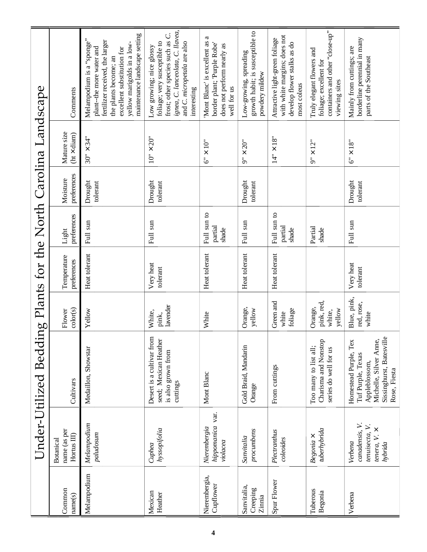|                                             | Comments                                        | maintenance landscape setting<br>Melampodium is a "sponge"<br>fertilizer received, the larger<br>yellow marigolds in a low-<br>plant-the more water and<br>excellent substitution for<br>the plants become; an | ignea, C. lanceolata, C. llavea,<br>frost; other species such as C.<br>foliage; very susceptible to<br>and C. micropetala are also<br>Low growing; nice glossy<br>interesting | a<br>Mont Blanc' is excellent as<br>border plant; 'Purple Robe'<br>does not perform nearly as<br>well for us | growth habit; is susceptible to<br>Low-growing, spreading<br>powdery mildew | with white margins; does not<br>Attractive light-green foliage<br>develop flower stalks as do<br>most coleus | containers and other "close-up"<br>Truly elegant flowers and<br>foliage; excellent for<br>viewing sites | borderline perennial in many<br>Mainly from cuttings; are<br>parts of the Southeast                                                  |
|---------------------------------------------|-------------------------------------------------|----------------------------------------------------------------------------------------------------------------------------------------------------------------------------------------------------------------|-------------------------------------------------------------------------------------------------------------------------------------------------------------------------------|--------------------------------------------------------------------------------------------------------------|-----------------------------------------------------------------------------|--------------------------------------------------------------------------------------------------------------|---------------------------------------------------------------------------------------------------------|--------------------------------------------------------------------------------------------------------------------------------------|
| ing Plants for the North Carolina Landscape | Mature size<br>$(ht \times diam)$               | $30" \times 34"$                                                                                                                                                                                               | $10" \times 20"$                                                                                                                                                              | $6'' \times 10''$                                                                                            | 20"<br>$9^{\circ}$ X                                                        | $14" \times 18"$                                                                                             | $9" \times 12"$                                                                                         | $\times\,18$ "<br>್ರೆ                                                                                                                |
|                                             | preferences<br>Moisture                         | Drought<br>tolerant                                                                                                                                                                                            | Drought<br>tolerant                                                                                                                                                           |                                                                                                              | Drought<br>tolerant                                                         |                                                                                                              |                                                                                                         | Drought<br>tolerant                                                                                                                  |
|                                             | preferences<br>Light                            | Full sun                                                                                                                                                                                                       | Full sun                                                                                                                                                                      | Full sun to<br>partial<br>shade                                                                              | Full sun                                                                    | Full sun to<br>partial<br>shade                                                                              | Partial<br>shade                                                                                        | Full sun                                                                                                                             |
|                                             | Temperature<br>preferences                      | Heat tolerant                                                                                                                                                                                                  | Very heat<br>tolerant                                                                                                                                                         | Heat tolerant                                                                                                | Heat tolerant                                                               | Heat tolerant                                                                                                |                                                                                                         | Very heat<br>tolerant                                                                                                                |
|                                             | color(s)<br>Flower                              | Yellow                                                                                                                                                                                                         | lavender<br>White,<br>pink,                                                                                                                                                   | White                                                                                                        | Orange,<br>yellow                                                           | Green and<br>foliage<br>white                                                                                | pink, red,<br>Orange,<br>yellow<br>white,                                                               | Blue, pink,<br>red, rose,<br>white                                                                                                   |
| Under-Utilized Beddi                        | Cultivars                                       | Medaillon, Showstar                                                                                                                                                                                            | Desert is a cultivar from<br>seed; Mexican Heather<br>is also grown from<br>cuttings                                                                                          | Mont Blanc                                                                                                   | Gold Braid, Mandarin<br>Orange                                              | From cuttings                                                                                                | Charisma and Nonstop<br>Too many to list all;<br>series do well for us                                  | Sissinghurst, Batesville<br>Tex<br>Michelle, Silver Anne,<br>Homestead Purple,<br>Tuf Purple, Texas<br>Appleblossom,<br>Rose, Fiesta |
|                                             | name (as per<br>Hortus III)<br><b>Botanical</b> | Melampodium<br>paludosum                                                                                                                                                                                       | hyssopifolia<br>Cuphea                                                                                                                                                        | hippomanica var.<br>Nierembergia<br>violacea                                                                 | procumbens<br>Sanvitalia                                                    | Plectranthus<br>coleoides                                                                                    | tuberhybrida<br>$Begonia \times$                                                                        | canadensis, V.<br>tenuisecta, V.<br>tenera, V. $\times$<br>Verbena<br>hybrida                                                        |
|                                             | Common<br>name(s)                               | Melampodium                                                                                                                                                                                                    | Mexican<br>Heather                                                                                                                                                            | Nierembergia,<br>Cupflower                                                                                   | Sanvitalia,<br>Creeping<br>Zinnia                                           | Spur Flower                                                                                                  | Tuberous<br>Begonia                                                                                     | Verbena                                                                                                                              |